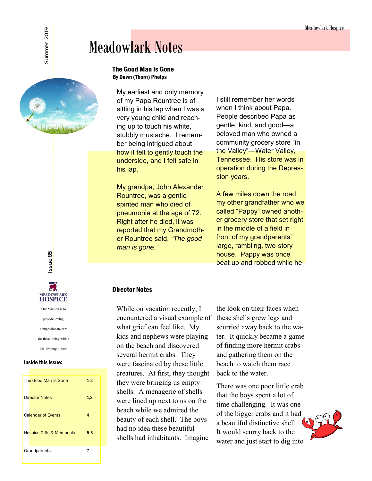# Meadowlark Notes

### The Good Man Is Gone By Dawn (Thorn) Phelps

My earliest and only memory of my Papa Rountree is of sitting in his lap when I was a very young child and reaching up to touch his white, stubbly mustache. I remember being intrigued about how it felt to gently touch the underside, and I felt safe in his lap.

My grandpa, John Alexander Rountree, was a gentlespirited man who died of pneumonia at the age of 72. Right after he died, it was reported that my Grandmother Rountree said, *"The good man is gone."*

I still remember her words when I think about Papa. People described Papa as gentle, kind, and good—a beloved man who owned a community grocery store "in the Valley"—Water Valley, Tennessee. His store was in operation during the Depression years.

A few miles down the road, my other grandfather who we called "Pappy" owned another grocery store that set right in the middle of a field in front of my grandparents' large, rambling, two-story house. Pappy was once beat up and robbed while he

### Director Notes

While on vacation recently, I encountered a visual example of what grief can feel like. My kids and nephews were playing on the beach and discovered several hermit crabs. They were fascinated by these little creatures. At first, they thought they were bringing us empty shells. A menagerie of shells were lined up next to us on the beach while we admired the beauty of each shell. The boys had no idea these beautiful shells had inhabitants. Imagine

the look on their faces when these shells grew legs and scurried away back to the water. It quickly became a game of finding more hermit crabs and gathering them on the beach to watch them race back to the water.

There was one poor little crab that the boys spent a lot of time challenging. It was one of the bigger crabs and it had a beautiful distinctive shell. It would scurry back to the water and just start to dig into



ssue 85

#### Inside this issue:

| The Good Man Is Gone                 | $1-2$ |
|--------------------------------------|-------|
| <b>Director Notes</b>                | 1,3   |
| <b>Calendar of Events</b>            | 4     |
| <b>Hospice Gifts &amp; Memorials</b> | $5-6$ |
| Grandparents                         | 7     |

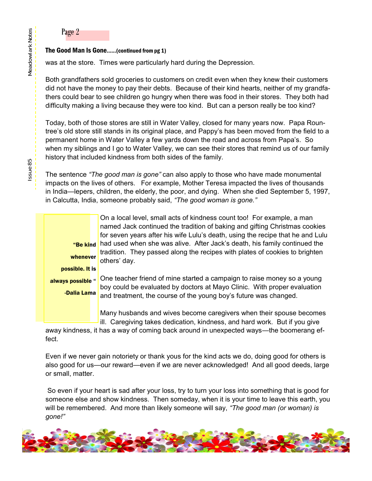### Page 2

### The Good Man Is Gone……(continued from pg 1)

was at the store. Times were particularly hard during the Depression.

Both grandfathers sold groceries to customers on credit even when they knew their customers did not have the money to pay their debts. Because of their kind hearts, neither of my grandfathers could bear to see children go hungry when there was food in their stores. They both had difficulty making a living because they were too kind. But can a person really be too kind?

Today, both of those stores are still in Water Valley, closed for many years now. Papa Rountree's old store still stands in its original place, and Pappy's has been moved from the field to a permanent home in Water Valley a few yards down the road and across from Papa's. So when my siblings and I go to Water Valley, we can see their stores that remind us of our family history that included kindness from both sides of the family.

The sentence *"The good man is gone"* can also apply to those who have made monumental impacts on the lives of others. For example, Mother Teresa impacted the lives of thousands in India—lepers, children, the elderly, the poor, and dying. When she died September 5, 1997, in Calcutta, India, someone probably said, *"The good woman is gone."* 

whenever possible. It is always possible " -Dalia Lama

On a local level, small acts of kindness count too! For example, a man named Jack continued the tradition of baking and gifting Christmas cookies for seven years after his wife Lulu's death, using the recipe that he and Lulu "Be kind had used when she was alive. After Jack's death, his family continued the tradition. They passed along the recipes with plates of cookies to brighten others' day.

One teacher friend of mine started a campaign to raise money so a young boy could be evaluated by doctors at Mayo Clinic. With proper evaluation and treatment, the course of the young boy's future was changed.

Many husbands and wives become caregivers when their spouse becomes ill. Caregiving takes dedication, kindness, and hard work. But if you give

away kindness, it has a way of coming back around in unexpected ways—the boomerang effect.

Even if we never gain notoriety or thank yous for the kind acts we do, doing good for others is also good for us—our reward—even if we are never acknowledged! And all good deeds, large or small, matter.

 So even if your heart is sad after your loss, try to turn your loss into something that is good for someone else and show kindness. Then someday, when it is your time to leave this earth, you will be remembered. And more than likely someone will say, *"The good man (or woman) is gone!"*

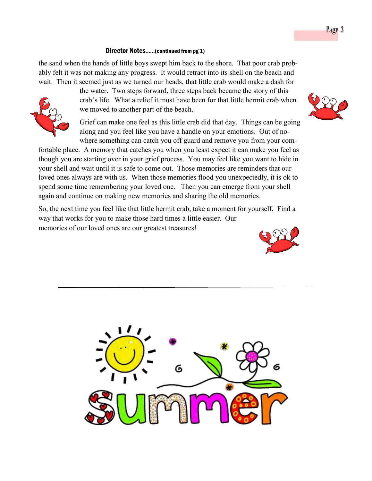### Director Notes……(continued from pg 1)

the sand when the hands of little boys swept him back to the shore. That poor crab probably felt it was not making any progress. It would retract into its shell on the beach and wait. Then it seemed just as we turned our heads, that little crab would make a dash for



the water. Two steps forward, three steps back became the story of this crab's life. What a relief it must have been for that little hermit crab when we moved to another part of the beach.

Grief can make one feel as this little crab did that day. Things can be going along and you feel like you have a handle on your emotions. Out of nowhere something can catch you off guard and remove you from your com-

fortable place. A memory that catches you when you least expect it can make you feel as though you are starting over in your grief process. You may feel like you want to hide in your shell and wait until it is safe to come out. Those memories are reminders that our loved ones always are with us. When those memories flood you unexpectedly, it is ok to spend some time remembering your loved one. Then you can emerge from your shell again and continue on making new memories and sharing the old memories.

So, the next time you feel like that little hermit crab, take a moment for yourself. Find a way that works for you to make those hard times a little easier. Our memories of our loved ones are our greatest treasures!





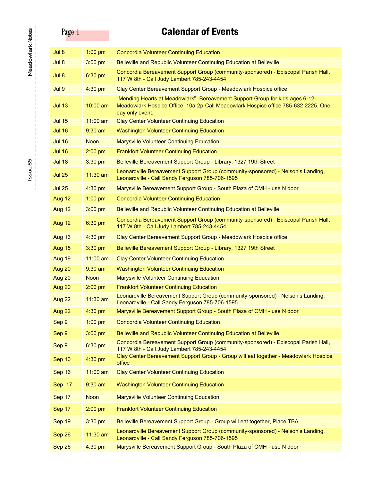# Page 4 Calendar of Events

| Jul 8         | $1:00$ pm   | <b>Concordia Volunteer Continuing Education</b>                                                                                                                                        |
|---------------|-------------|----------------------------------------------------------------------------------------------------------------------------------------------------------------------------------------|
| Jul 8         | $3:00$ pm   | Belleville and Republic Volunteer Continuing Education at Belleville                                                                                                                   |
| Jul 8         | 6:30 pm     | Concordia Bereavement Support Group (community-sponsored) - Episcopal Parish Hall,<br>117 W 8th - Call Judy Lambert 785-243-4454                                                       |
| Jul 9         | 4:30 pm     | Clay Center Bereavement Support Group - Meadowlark Hospice office                                                                                                                      |
| <b>Jul 13</b> | 10:00 am    | "Mending Hearts at Meadowlark" -Bereavement Support Group for kids ages 6-12-<br>Meadowlark Hospice Office, 10a-2p-Call Meadowlark Hospice office 785-632-2225. One<br>day only event. |
| <b>Jul 15</b> | 11:00 am    | <b>Clay Center Volunteer Continuing Education</b>                                                                                                                                      |
| <b>Jul 16</b> | $9:30$ am   | <b>Washington Volunteer Continuing Education</b>                                                                                                                                       |
| <b>Jul 16</b> | <b>Noon</b> | <b>Marysville Volunteer Continuing Education</b>                                                                                                                                       |
| <b>Jul 16</b> | $2:00$ pm   | <b>Frankfort Volunteer Continuing Education</b>                                                                                                                                        |
| <b>Jul 18</b> | 3:30 pm     | Belleville Bereavement Support Group - Library, 1327 19th Street                                                                                                                       |
| <b>Jul 25</b> | $11:30$ am  | Leonardville Bereavement Support Group (community-sponsored) - Nelson's Landing,<br>Leonardville - Call Sandy Ferguson 785-706-1595                                                    |
| <b>Jul 25</b> | 4:30 pm     | Marysville Bereavement Support Group - South Plaza of CMH - use N door                                                                                                                 |
| Aug 12        | $1:00$ pm   | <b>Concordia Volunteer Continuing Education</b>                                                                                                                                        |
| Aug 12        | $3:00$ pm   | Belleville and Republic Volunteer Continuing Education at Belleville                                                                                                                   |
| Aug 12        | 6:30 pm     | Concordia Bereavement Support Group (community-sponsored) - Episcopal Parish Hall,<br>117 W 8th - Call Judy Lambert 785-243-4454                                                       |
| Aug 13        | 4:30 pm     | Clay Center Bereavement Support Group - Meadowlark Hospice office                                                                                                                      |
| Aug 15        | 3:30 pm     | Belleville Bereavement Support Group - Library, 1327 19th Street                                                                                                                       |
| Aug 19        | $11:00$ am  | <b>Clay Center Volunteer Continuing Education</b>                                                                                                                                      |
| Aug 20        | $9:30$ am   | <b>Washington Volunteer Continuing Education</b>                                                                                                                                       |
| Aug 20        | <b>Noon</b> | <b>Marysville Volunteer Continuing Education</b>                                                                                                                                       |
| Aug 20        | $2:00$ pm   | <b>Frankfort Volunteer Continuing Education</b>                                                                                                                                        |
| Aug 22        | $11:30$ am  | Leonardville Bereavement Support Group (community-sponsored) - Nelson's Landing,<br>Leonardville - Call Sandy Ferguson 785-706-1595                                                    |
| Aug 22        | $4:30$ pm   | Marysville Bereavement Support Group - South Plaza of CMH - use N door                                                                                                                 |
| Sep 9         | $1:00$ pm   | <b>Concordia Volunteer Continuing Education</b>                                                                                                                                        |
| Sep 9         | 3:00 pm     | Belleville and Republic Volunteer Continuing Education at Belleville                                                                                                                   |
| Sep 9         | 6:30 pm     | Concordia Bereavement Support Group (community-sponsored) - Episcopal Parish Hall,<br>117 W 8th - Call Judy Lambert 785-243-4454                                                       |
| Sep 10        | 4:30 pm     | Clay Center Bereavement Support Group - Group will eat together - Meadowlark Hospice<br>office                                                                                         |
| Sep 16        | $11:00$ am  | <b>Clay Center Volunteer Continuing Education</b>                                                                                                                                      |
| Sep 17        | $9:30$ am   | <b>Washington Volunteer Continuing Education</b>                                                                                                                                       |
| Sep 17        | <b>Noon</b> | Marysville Volunteer Continuing Education                                                                                                                                              |
| Sep 17        | $2:00$ pm   | <b>Frankfort Volunteer Continuing Education</b>                                                                                                                                        |
| Sep 19        | 3:30 pm     | Belleville Bereavement Support Group - Group will eat together, Place TBA                                                                                                              |
| Sep 26        | $11:30$ am  | Leonardville Bereavement Support Group (community-sponsored) - Nelson's Landing,<br>Leonardville - Call Sandy Ferguson 785-706-1595                                                    |
| Sep 26        | $4:30$ pm   | Marysville Bereavement Support Group - South Plaza of CMH - use N door                                                                                                                 |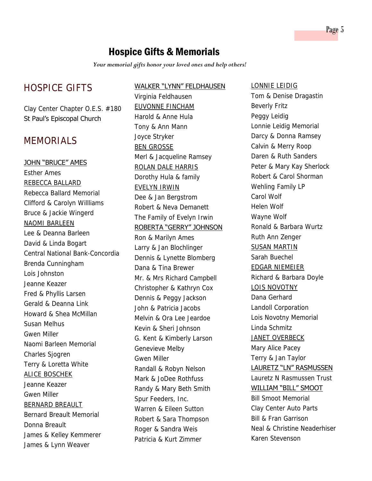## Hospice Gifts & Memorials

*Your memorial gifts honor your loved ones and help others!* 

## HOSPICE GIFTS

Clay Center Chapter O.E.S. #180 St Paul's Episcopal Church

### MEMORIALS

### JOHN "BRUCE" AMES

Esther Ames REBECCA BALLARD Rebecca Ballard Memorial Clifford & Carolyn Willliams Bruce & Jackie Wingerd NAOMI BARLEEN Lee & Deanna Barleen David & Linda Bogart Central National Bank-Concordia Brenda Cunningham Lois Johnston Jeanne Keazer Fred & Phyllis Larsen Gerald & Deanna Link Howard & Shea McMillan Susan Melhus Gwen Miller Naomi Barleen Memorial Charles Sjogren Terry & Loretta White ALICE BOSCHEK Jeanne Keazer Gwen Miller BERNARD BREAULT Bernard Breault Memorial Donna Breault James & Kelley Kemmerer James & Lynn Weaver

### WALKER "LYNN" FELDHAUSEN

Virginia Feldhausen EUVONNE FINCHAM Harold & Anne Hula Tony & Ann Mann Joyce Stryker BEN GROSSE Merl & Jacqueline Ramsey ROLAN DALE HARRIS Dorothy Hula & family EVELYN IRWIN Dee & Jan Bergstrom Robert & Neva Demanett The Family of Evelyn Irwin ROBERTA "GERRY" JOHNSON Ron & Marilyn Ames Larry & Jan Blochlinger Dennis & Lynette Blomberg Dana & Tina Brewer Mr. & Mrs Richard Campbell Christopher & Kathryn Cox Dennis & Peggy Jackson John & Patricia Jacobs Melvin & Ora Lee Jeardoe Kevin & Sheri Johnson G. Kent & Kimberly Larson Genevieve Melby Gwen Miller Randall & Robyn Nelson Mark & JoDee Rothfuss Randy & Mary Beth Smith Spur Feeders, Inc. Warren & Eileen Sutton Robert & Sara Thompson Roger & Sandra Weis Patricia & Kurt Zimmer

#### LONNIE LEIDIG

Tom & Denise Dragastin Beverly Fritz Peggy Leidig Lonnie Leidig Memorial Darcy & Donna Ramsey Calvin & Merry Roop Daren & Ruth Sanders Peter & Mary Kay Sherlock Robert & Carol Shorman Wehling Family LP Carol Wolf Helen Wolf Wayne Wolf Ronald & Barbara Wurtz Ruth Ann Zenger SUSAN MARTIN Sarah Buechel EDGAR NIEMEIER Richard & Barbara Doyle LOIS NOVOTNY Dana Gerhard Landoll Corporation Lois Novotny Memorial Linda Schmitz JANET OVERBECK Mary Alice Pacey Terry & Jan Taylor LAURETZ "LN" RASMUSSEN Lauretz N Rasmussen Trust WILLIAM "BILL" SMOOT Bill Smoot Memorial Clay Center Auto Parts Bill & Fran Garrison Neal & Christine Neaderhiser Karen Stevenson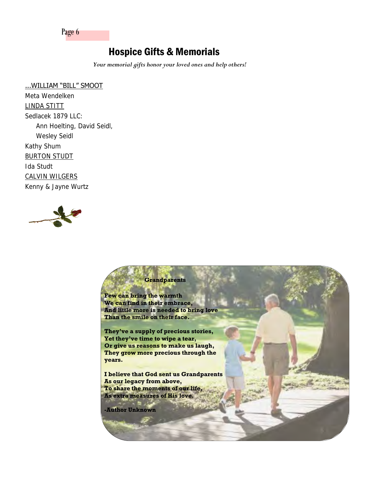Page 6

## Hospice Gifts & Memorials

*Your memorial gifts honor your loved ones and help others!* 

### ...WILLIAM "BILL" SMOOT

Meta Wendelken LINDA STITT Sedlacek 1879 LLC: Ann Hoelting, David Seidl, Wesley Seidl Kathy Shum BURTON STUDT Ida Studt CALVIN WILGERS Kenny & Jayne Wurtz



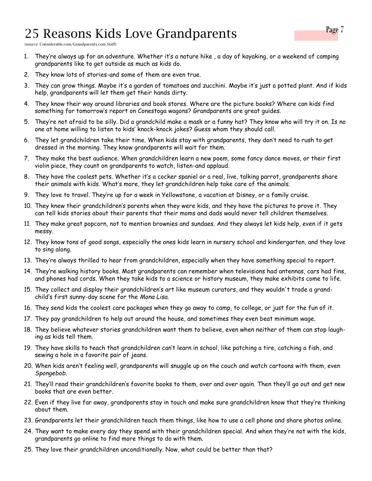# 25 Reasons Kids Love Grandparents

(source: Considerable.com/Grandparents.com Staff)

- 1. They're always up for an adventure. Whether it's a nature hike , a day of kayaking, or a weekend of camping grandparents like to get outside as much as kids do.
- 2. They know lots of stories-and some of them are even true.
- 3. They can grow things. Maybe it's a garden of tomatoes and zucchini. Maybe it's just a potted plant. And if kids help, grandparents will let them get their hands dirty.
- 4. They know their way around libraries and book stores. Where are the picture books? Where can kids find something for tomorrow's report on Conestoga wagons? Grandparents are great guides.
- 5. They're not afraid to be silly. Did a grandchild make a mask or a funny hat? They know who will try it on. Is no one at home willing to listen to kids' knock-knock jokes? Guess whom they should call.
- 6. They let grandchildren take their time. When kids stay with grandparents, they don't need to rush to get dressed in the morning. They know grandparents will wait for them.
- 7. They make the best audience. When grandchildren learn a new poem, some fancy dance moves, or their first violin piece, they count on grandparents to watch, listen-and applaud.
- 8. They have the coolest pets. Whether it's a cocker spaniel or a real, live, talking parrot, grandparents share their animals with kids. What's more, they let grandchildren help take care of the animals.
- 9. They love to travel. They're up for a week in Yellowstone, a vacation at Disney, or a family cruise.
- 10. They knew their grandchildren's parents when they were kids, and they have the pictures to prove it. They can tell kids stories about their parents that their moms and dads would never tell children themselves.
- 11. They make great popcorn, not to mention brownies and sundaes. And they always let kids help, even if it gets messy.
- 12. They know tons of good songs, especially the ones kids learn in nursery school and kindergarten, and they love to sing along.
- 13. They're always thrilled to hear from grandchildren, especially when they have something special to report.
- 14. They're walking history books. Most grandparents can remember when televisions had antennas, cars had fins, and phones had cords. When they take kids to a science or history museum, they make exhibits come to life.
- 15. They collect and display their grandchildren's art like museum curators, and they wouldn't trade a grandchild's first sunny-day scene for the *Mona Lisa.*
- 16. They send kids the coolest care packages when they go away to camp, to college, or just for the fun of it.
- 17. They pay grandchildren to help out around the house, and sometimes they even beat minimum wage.
- 18. They believe whatever stories grandchildren want them to believe, even when neither of them can stop laughing as kids tell them.
- 19. They have skills to teach that grandchildren can't learn in school, like patching a tire, catching a fish, and sewing a hole in a favorite pair of jeans.
- 20. When kids aren't feeling well, grandparents will snuggle up on the couch and watch cartoons with them, even *Spongebob.*
- 21. They'll read their grandchildren's favorite books to them, over and over again. Then they'll go out and get new books that are even better.
- 22. Even if they live far away, grandparents stay in touch and make sure grandchildren know that they're thinking about them.
- 23. Grandparents let their grandchildren teach them things, like how to use a cell phone and share photos online.
- 24. They want to make every day they spend with their grandchildren special. And when they're not with the kids, grandparents go online to find more things to do with them.
- 25. They love their grandchildren unconditionally. Now, what could be better than that?